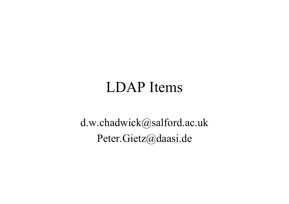#### LDAP Items

d.w.chadwick@salford.ac.uk Peter.Gietz@daasi.de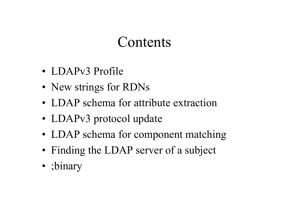#### Contents

- LDAPv3 Profile
- New strings for RDNs
- LDAP schema for attribute extraction
- LDAPv3 protocol update
- LDAP schema for component matching
- Finding the LDAP server of a subject
- ;binary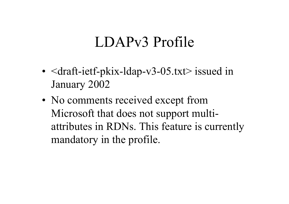### LDAPv3 Profile

- •• <draft-ietf-pkix-ldap-v3-05.txt> issued in January 2002
- •• No comments received except from Microsoft that does not support multiattributes in RDNs. This feature is currently mandatory in the profile.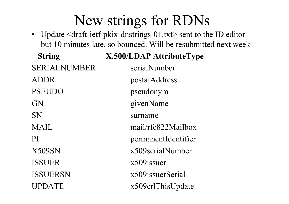## New strings for RDNs

• Update <draft-ietf-pkix-dnstrings-01.txt> sent to the ID editor but 10 minutes late, so bounced. Will be resubmitted next week

**String X.500/LDAP AttributeType**

SERIALNUMBER serialNumber ADDR postalAddress PSEUDO pseudonym GN givenName SN surname MAIL mail/rfc822Mailbox PI permanentIdentifier X509SN x509serialNumber ISSUER x509issuer ISSUERSN x509issuerSerial UPDATE x509crlThisUpdate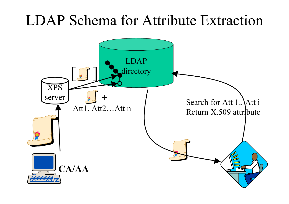#### LDAP Schema for Attribute Extraction

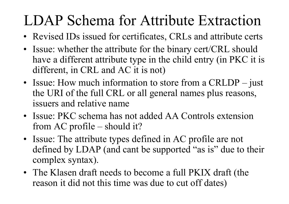# LDAP Schema for Attribute Extraction

- Revised IDs issued for certificates, CRLs and attribute certs
- Issue: whether the attribute for the binary cert/CRL should have a different attribute type in the child entry (in PKC it is different, in CRL and AC it is not)
- Issue: How much information to store from a CRLDP just the URI of the full CRL or all general names plus reasons, issuers and relative name
- Issue: PKC schema has not added AA Controls extension from AC profile – should it?
- Issue: The attribute types defined in AC profile are not defined by LDAP (and cant be supported "as is" due to their complex syntax).
- The Klasen draft needs to become a full PKIX draft (the reason it did not this time was due to cut off dates)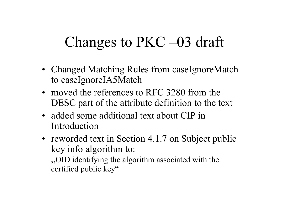## Changes to PKC –03 draft

- Changed Matching Rules from caseIgnoreMatch to caseIgnoreIA5Match
- moved the references to RFC 3280 from the DESC par<sup>t</sup> of the attribute definition to the text
- added some additional text about CIP in Introduction
- reworded text in Section 4.1.7 on Subject public key info algorithm to:

"OID identifying the algorithm associated with the certified public key"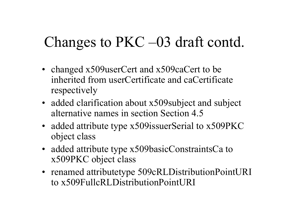## Changes to PKC –03 draft contd.

- changed x509userCert and x509caCert to be inherited from userCertificate and caCertificate respectively
- added clarification about x509 subject and subject alternative names in section Section 4.5
- added attribute type x509 issuerSerial to x509 PKC object class
- added attribute type x509basicConstraintsCa to x509PKC object class
- renamed attributetype 509cRLDistributionPointURI to x509FullcRLDistributionPointURI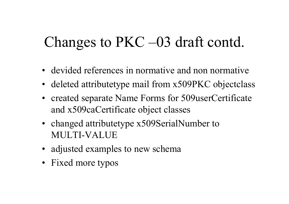## Changes to PKC –03 draft contd.

- devided references in normative and non normative
- deleted attributetype mail from x509PKC objectclass
- created separate Name Forms for 509userCertificate and x509caCertificate object classes
- changed attributetype x509SerialNumber to MULTI-VALUE
- adjusted examples to new schema
- Fixed more typos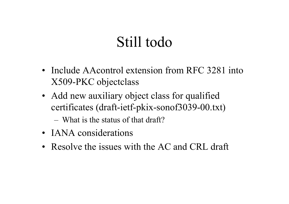### Still todo

- Include AAcontrol extension from RFC 3281 into X509-PKC objectclass
- Add new auxiliary object class for qualified certificates (draft-ietf-pkix-sonof3039-00.txt)

– What is the status of that draft?

- IANA considerations
- Resolve the issues with the AC and CRL draft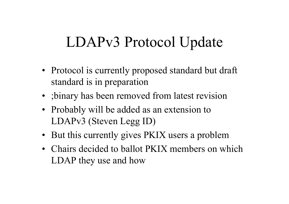## LDAPv3 Protocol Update

- Protocol is currently proposed standard but draft standard is in preparation
- ;binary has been removed from latest revision
- Probably will be added as an extension to LDAPv3 (Steven Legg ID)
- But this currently gives PKIX users a problem
- Chairs decided to ballot PKIX members on which LDAP they use and how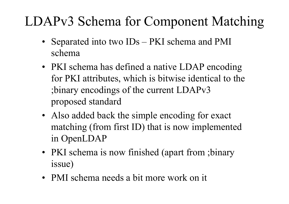#### LDAPv3 Schema for Component Matching

- Separated into two IDs PKI schema and PMI schema
- PKI schema has defined a native LDAP encoding for PKI attributes, which is bitwise identical to the ;binary encodings of the current LDAPv3 proposed standard
- Also added back the simple encoding for exact matching (from first ID) that is now implemented in OpenLDAP
- PKI schema is now finished (apart from ; binary issue)
- PMI schema needs a bit more work on it